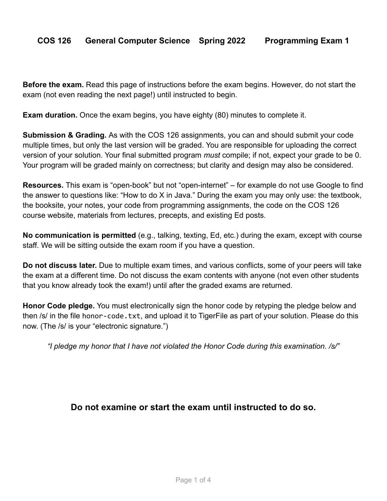**Before the exam.** Read this page of instructions before the exam begins. However, do not start the exam (not even reading the next page!) until instructed to begin.

**Exam duration.** Once the exam begins, you have eighty (80) minutes to complete it.

**Submission & Grading.** As with the COS 126 assignments, you can and should submit your code multiple times, but only the last version will be graded. You are responsible for uploading the correct version of your solution. Your final submitted program *must* compile; if not, expect your grade to be 0. Your program will be graded mainly on correctness; but clarity and design may also be considered.

**Resources.** This exam is "open-book" but not "open-internet" – for example do not use Google to find the answer to questions like: "How to do X in Java." During the exam you may only use: the textbook, the booksite, your notes, your code from programming assignments, the code on the COS 126 course website, materials from lectures, precepts, and existing Ed posts.

**No communication is permitted** (e.g., talking, texting, Ed, etc.) during the exam, except with course staff. We will be sitting outside the exam room if you have a question.

**Do not discuss later.** Due to multiple exam times, and various conflicts, some of your peers will take the exam at a different time. Do not discuss the exam contents with anyone (not even other students that you know already took the exam!) until after the graded exams are returned.

**Honor Code pledge.** You must electronically sign the honor code by retyping the pledge below and then /s/ in the file honor-code.txt, and upload it to TigerFile as part of your solution. Please do this now. (The /s/ is your "electronic signature.")

*"I pledge my honor that I have not violated the Honor Code during this examination. /s/"*

## **Do not examine or start the exam until instructed to do so.**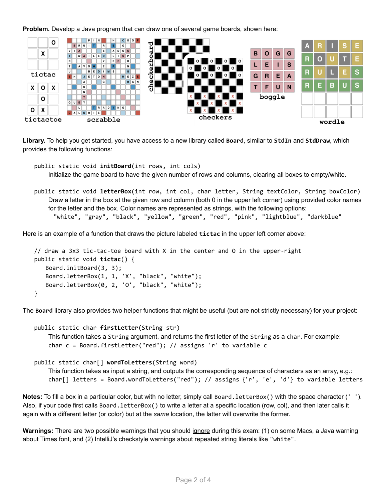**Problem.** Develop a Java program that can draw one of several game boards, shown here:



**Library.** To help you get started, you have access to a new library called **Board**, similar to **StdIn** and **StdDraw**, which provides the following functions:

public static void **initBoard**(int rows, int cols) Initialize the game board to have the given number of rows and columns, clearing all boxes to empty/white.

public static void **letterBox**(int row, int col, char letter, String textColor, String boxColor) Draw a letter in the box at the given row and column (both 0 in the upper left corner) using provided color names for the letter and the box. Color names are represented as strings, with the following options: "white", "gray", "black", "yellow", "green", "red", "pink", "lightblue", "darkblue"

Here is an example of a function that draws the picture labeled **tictac** in the upper left corner above:

```
// draw a 3x3 tic-tac-toe board with X in the center and O in the upper-right
public static void tictac() {
   Board.initBoard(3, 3);
   Board.letterBox(1, 1, 'X', "black", "white");
   Board.letterBox(0, 2, 'O', "black", "white");
}
```
The **Board** library also provides two helper functions that might be useful (but are not strictly necessary) for your project:

```
public static char firstLetter(String str)
    This function takes a String argument, and returns the first letter of the String as a char. For example:
    char c = Board.firstLetter("red"); // assigns 'r' to variable c
public static char[] wordToLetters(String word)
    This function takes as input a string, and outputs the corresponding sequence of characters as an array, e.g.:
    char[] letters = Board.wordToLetters("red"); // assigns {'r', 'e', 'd'} to variable letters
```
**Notes:** To fill a box in a particular color, but with no letter, simply call Board.letterBox() with the space character (' '). Also, if your code first calls Board.letterBox() to write a letter at a specific location (row, col), and then later calls it again with a different letter (or color) but at the *same* location, the latter will overwrite the former.

**Warnings:** There are two possible warnings that you should ignore during this exam: (1) on some Macs, a Java warning about Times font, and (2) IntelliJ's checkstyle warnings about repeated string literals like "white".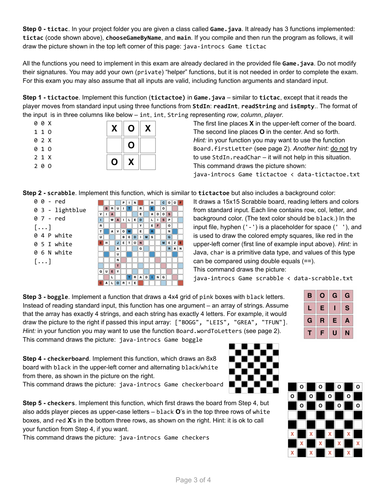**Step 0 - tictac**. In your project folder you are given a class called **Game.java**. It already has 3 functions implemented: **tictac** (code shown above), **chooseGameByName**, and **main**. If you compile and then run the program as follows, it will draw the picture shown in the top left corner of this page: java-introcs Game tictac

All the functions you need to implement in this exam are already declared in the provided file **Game.java**. Do not modify their signatures. You may add your own (private) "helper" functions, but it is not needed in order to complete the exam. For this exam you may also assume that all inputs are valid, including function arguments and standard input.

**Step 1 - tictactoe**. Implement this function (**tictactoe)** in **Game.java** – similar to **tictac**, except that it reads the player moves from standard input using three functions from **StdIn**: **readInt**, **readString** and **isEmpty**.. The format of the input is in three columns like below – int, int, String representing *row*, *column*, *player*.

|     | 0 0 X | X | $\mathbf O$ | X |
|-----|-------|---|-------------|---|
| 110 |       |   |             |   |
|     | 0 2 X |   | O           |   |
| 010 |       |   |             |   |
|     | 2 1 X | O | X           |   |
| 200 |       |   |             |   |

The first line places **X** in the upper-left corner of the board. The second line places **O** in the center. And so forth. *Hint:* in your function you may want to use the function Board.firstLetter (see page 2). *Another hint:* do not try to use StdIn.readChar – it will not help in this situation. This command draws the picture shown: java-introcs Game tictactoe < data-tictactoe.txt

**Step 2 - scrabble**. Implement this function, which is similar to **tictactoe** but also includes a background color:

 $|c|$   $|o|$   $|r|$ 

ᢛ

 $\overline{N}$ 

 $\overline{\mathbf{G}}$ 

RAN

 $\overline{M}$  $E$ 

ெ ADOS

 $\boxed{\begin{array}{c|c|c|c|c} \hline \textbf{L} & \textbf{I} & \textbf{S} & \textbf{P} \end{array}}$ 

 $F$ 

**MS**  $\overline{o}$   $\overline{\phantom{a}}$   $\overline{\phantom{a}}$ 

RADING

 $\overline{\mathbf{H}}$ 

 $N$  $\overline{R}$ 

 $\overline{E}$  $E$  D

 $\overline{\mathbf{v}}$ 

 $\overline{E}$  $\overline{R}$ 

 $\Box$ 

 $\mathbf G$ 

 $\overline{\mathbf{D}}$ 

| 0 - red         |   |   |   |    | P |   |
|-----------------|---|---|---|----|---|---|
| 0 3 - lightblue |   | в | R | U  | ı | т |
|                 | v |   | Α |    |   |   |
| 0 7 - red       | Π |   | W | A  | ı | L |
| $[\,\ldots]$    | R |   |   |    |   |   |
|                 | т |   | А | v  | o | W |
| 0 4 P white     | U |   |   |    | в | E |
| 0 5 I white     | Е | н |   | J. | E | T |
|                 |   |   |   | A  |   |   |
| 0 6 N white     |   |   |   | U  |   |   |
| $[\,\ldots]$    |   |   |   | N  |   |   |
|                 |   |   |   | т  |   |   |
|                 | Q | U | Е | ٧  |   |   |
|                 |   |   |   |    |   | Ŧ |

It draws a 15x15 Scrabble board, reading letters and colors from standard input. Each line contains row, col, letter, and background color. (The text color should be black.) In the input file, hyphen ('-') is a placeholder for space (' '), and is used to draw the colored empty squares, like red in the upper-left corner (first line of example input above). *Hint:* in Java, char is a primitive data type, and values of this type can be compared using double equals (==).

This command draws the picture:

java-introcs Game scrabble < data-scrabble.txt

**Step 3 - boggle**. Implement a function that draws a 4x4 grid of pink boxes with black letters. Instead of reading standard input, this function has one argument – an array of strings. Assume that the array has exactly 4 strings, and each string has exactly 4 letters. For example, it would draw the picture to the right if passed this input array: ["BOGG", "LEIS", "GREA", "TFUN"]. *Hint:* in your function you may want to use the function Board.wordToLetters (see page 2). This command draws the picture: java-introcs Game boggle

B.  $\overline{O}$ G G E  $\mathbf{s}$ L T G  $\mathsf{R}$ Е A T F U N

**Step 4 - checkerboard**. Implement this function, which draws an 8x8 board with black in the upper-left corner and alternating black/white from there, as shown in the picture on the right.

CALORIE<sup>T</sup>

This command draws the picture: java-introcs Game checkerboard

**Step 5 - checkers**. Implement this function, which first draws the board from Step 4, but also adds player pieces as upper-case letters – black **O**'s in the top three rows of white boxes, and red **X**'s in the bottom three rows, as shown on the right. Hint: it is ok to call your function from Step 4, if you want.

This command draws the picture: java-introcs Game checkers